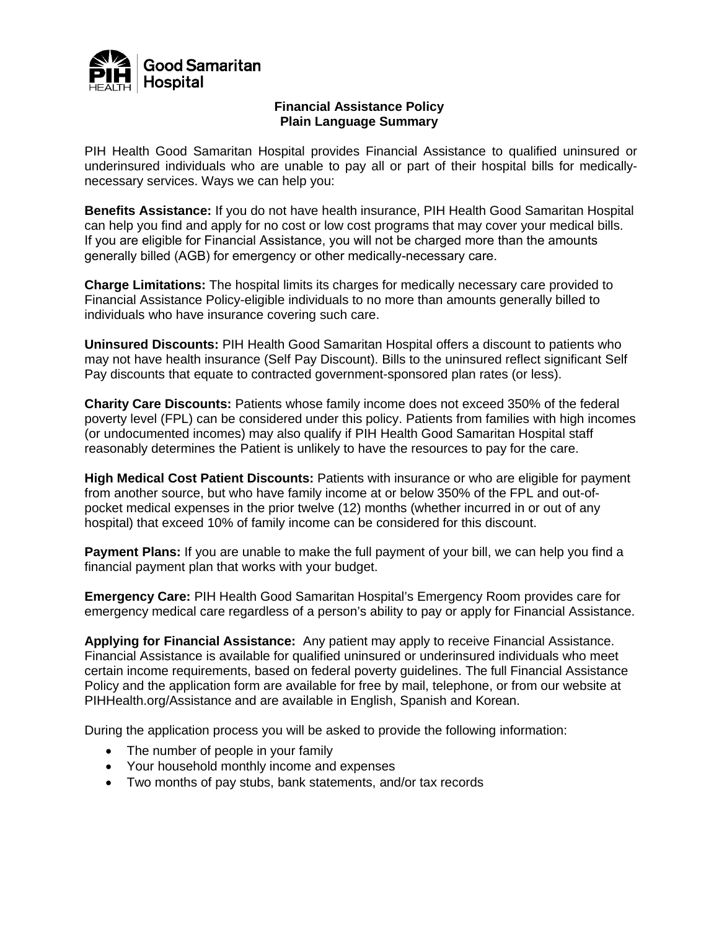

## **Financial Assistance Policy Plain Language Summary**

PIH Health Good Samaritan Hospital provides Financial Assistance to qualified uninsured or underinsured individuals who are unable to pay all or part of their hospital bills for medicallynecessary services. Ways we can help you:

**Benefits Assistance:** If you do not have health insurance, PIH Health Good Samaritan Hospital can help you find and apply for no cost or low cost programs that may cover your medical bills. If you are eligible for Financial Assistance, you will not be charged more than the amounts generally billed (AGB) for emergency or other medically-necessary care.

**Charge Limitations:** The hospital limits its charges for medically necessary care provided to Financial Assistance Policy-eligible individuals to no more than amounts generally billed to individuals who have insurance covering such care.

**Uninsured Discounts:** PIH Health Good Samaritan Hospital offers a discount to patients who may not have health insurance (Self Pay Discount). Bills to the uninsured reflect significant Self Pay discounts that equate to contracted government-sponsored plan rates (or less).

**Charity Care Discounts:** Patients whose family income does not exceed 350% of the federal poverty level (FPL) can be considered under this policy. Patients from families with high incomes (or undocumented incomes) may also qualify if PIH Health Good Samaritan Hospital staff reasonably determines the Patient is unlikely to have the resources to pay for the care.

**High Medical Cost Patient Discounts:** Patients with insurance or who are eligible for payment from another source, but who have family income at or below 350% of the FPL and out-ofpocket medical expenses in the prior twelve (12) months (whether incurred in or out of any hospital) that exceed 10% of family income can be considered for this discount.

**Payment Plans:** If you are unable to make the full payment of your bill, we can help you find a financial payment plan that works with your budget.

**Emergency Care:** PIH Health Good Samaritan Hospital's Emergency Room provides care for emergency medical care regardless of a person's ability to pay or apply for Financial Assistance.

**Applying for Financial Assistance:** Any patient may apply to receive Financial Assistance. Financial Assistance is available for qualified uninsured or underinsured individuals who meet certain income requirements, based on federal poverty guidelines. The full Financial Assistance Policy and the application form are available for free by mail, telephone, or from our website at PIHHealth.org/Assistance and are available in English, Spanish and Korean.

During the application process you will be asked to provide the following information:

- The number of people in your family
- Your household monthly income and expenses
- Two months of pay stubs, bank statements, and/or tax records